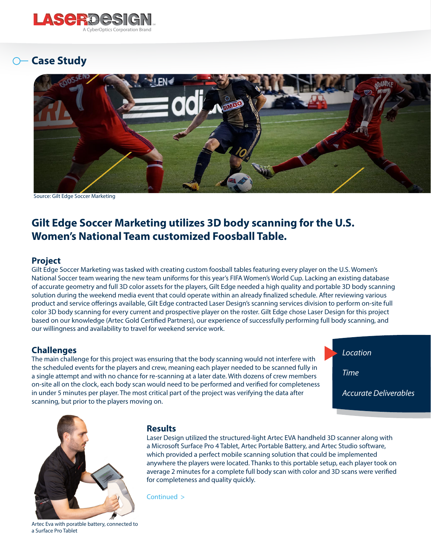

SM

# **Case Study**



Source: Gilt Edge Soccer Marketing

# **Gilt Edge Soccer Marketing utilizes 3D body scanning for the U.S. Women's National Team customized Foosball Table.**

## **Project**

Gilt Edge Soccer Marketing was tasked with creating custom foosball tables featuring every player on the U.S. Women's National Soccer team wearing the new team uniforms for this year's FIFA Women's World Cup. Lacking an existing database of accurate geometry and full 3D color assets for the players, Gilt Edge needed a high quality and portable 3D body scanning solution during the weekend media event that could operate within an already finalized schedule. After reviewing various product and service offerings available, Gilt Edge contracted Laser Design's scanning services division to perform on-site full color 3D body scanning for every current and prospective player on the roster. Gilt Edge chose Laser Design for this project based on our knowledge (Artec Gold Certified Partners), our experience of successfully performing full body scanning, and our willingness and availability to travel for weekend service work.

#### **Challenges**

The main challenge for this project was ensuring that the body scanning would not interfere with the scheduled events for the players and crew, meaning each player needed to be scanned fully in a single attempt and with no chance for re-scanning at a later date. With dozens of crew members on-site all on the clock, each body scan would need to be performed and verified for completeness in under 5 minutes per player. The most critical part of the project was verifying the data after scanning, but prior to the players moving on.

*Location*

*Time*

*Accurate Deliverables*



#### Artec Eva with poratble battery, connected to a Surface Pro Tablet

### **Results**

Laser Design utilized the structured-light Artec EVA handheld 3D scanner along with a Microsoft Surface Pro 4 Tablet, Artec Portable Battery, and Artec Studio software, which provided a perfect mobile scanning solution that could be implemented anywhere the players were located. Thanks to this portable setup, each player took on average 2 minutes for a complete full body scan with color and 3D scans were verified for completeness and quality quickly.

Continued >